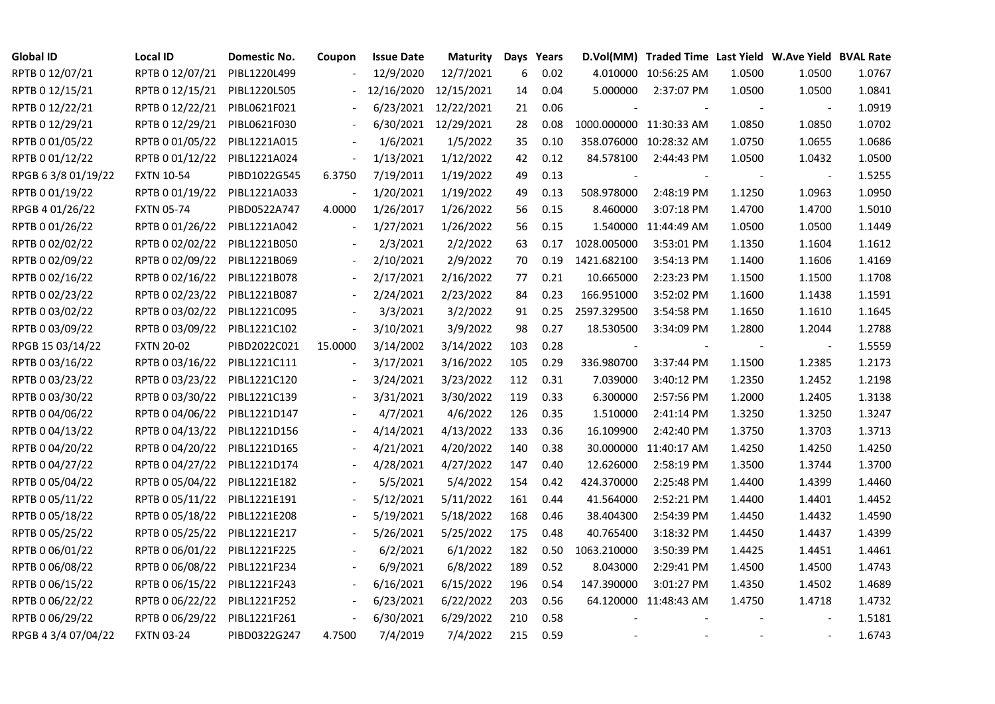| <b>Global ID</b>    | <b>Local ID</b>   | Domestic No. | Coupon                       | <b>Issue Date</b> | <b>Maturity</b>      |     | Days Years |                          | D.Vol(MM) Traded Time Last Yield W.Ave Yield BVAL Rate |        |                |        |
|---------------------|-------------------|--------------|------------------------------|-------------------|----------------------|-----|------------|--------------------------|--------------------------------------------------------|--------|----------------|--------|
| RPTB 0 12/07/21     | RPTB 0 12/07/21   | PIBL1220L499 |                              | 12/9/2020         | 12/7/2021            | 6   | 0.02       |                          | 4.010000 10:56:25 AM                                   | 1.0500 | 1.0500         | 1.0767 |
| RPTB 0 12/15/21     | RPTB 0 12/15/21   | PIBL1220L505 |                              | 12/16/2020        | 12/15/2021           | 14  | 0.04       | 5.000000                 | 2:37:07 PM                                             | 1.0500 | 1.0500         | 1.0841 |
| RPTB 0 12/22/21     | RPTB 0 12/22/21   | PIBL0621F021 |                              | 6/23/2021         | 12/22/2021           | 21  | 0.06       |                          |                                                        |        |                | 1.0919 |
| RPTB 0 12/29/21     | RPTB 0 12/29/21   | PIBL0621F030 |                              |                   | 6/30/2021 12/29/2021 | 28  | 0.08       | 1000.000000 11:30:33 AM  |                                                        | 1.0850 | 1.0850         | 1.0702 |
| RPTB 0 01/05/22     | RPTB 0 01/05/22   | PIBL1221A015 |                              | 1/6/2021          | 1/5/2022             | 35  | 0.10       |                          | 358.076000 10:28:32 AM                                 | 1.0750 | 1.0655         | 1.0686 |
| RPTB 0 01/12/22     | RPTB 0 01/12/22   | PIBL1221A024 | $\blacksquare$               | 1/13/2021         | 1/12/2022            | 42  | 0.12       | 84.578100                | 2:44:43 PM                                             | 1.0500 | 1.0432         | 1.0500 |
| RPGB 63/8 01/19/22  | <b>FXTN 10-54</b> | PIBD1022G545 | 6.3750                       | 7/19/2011         | 1/19/2022            | 49  | 0.13       | $\overline{\phantom{a}}$ |                                                        |        | $\blacksquare$ | 1.5255 |
| RPTB 0 01/19/22     | RPTB 0 01/19/22   | PIBL1221A033 |                              | 1/20/2021         | 1/19/2022            | 49  | 0.13       | 508.978000               | 2:48:19 PM                                             | 1.1250 | 1.0963         | 1.0950 |
| RPGB 4 01/26/22     | <b>FXTN 05-74</b> | PIBD0522A747 | 4.0000                       | 1/26/2017         | 1/26/2022            | 56  | 0.15       | 8.460000                 | 3:07:18 PM                                             | 1.4700 | 1.4700         | 1.5010 |
| RPTB 0 01/26/22     | RPTB 0 01/26/22   | PIBL1221A042 | $\qquad \qquad \blacksquare$ | 1/27/2021         | 1/26/2022            | 56  | 0.15       |                          | 1.540000 11:44:49 AM                                   | 1.0500 | 1.0500         | 1.1449 |
| RPTB 0 02/02/22     | RPTB 0 02/02/22   | PIBL1221B050 |                              | 2/3/2021          | 2/2/2022             | 63  | 0.17       | 1028.005000              | 3:53:01 PM                                             | 1.1350 | 1.1604         | 1.1612 |
| RPTB 0 02/09/22     | RPTB 0 02/09/22   | PIBL1221B069 |                              | 2/10/2021         | 2/9/2022             | 70  | 0.19       | 1421.682100              | 3:54:13 PM                                             | 1.1400 | 1.1606         | 1.4169 |
| RPTB 0 02/16/22     | RPTB 0 02/16/22   | PIBL1221B078 |                              | 2/17/2021         | 2/16/2022            | 77  | 0.21       | 10.665000                | 2:23:23 PM                                             | 1.1500 | 1.1500         | 1.1708 |
| RPTB 0 02/23/22     | RPTB 0 02/23/22   | PIBL1221B087 | $\blacksquare$               | 2/24/2021         | 2/23/2022            | 84  | 0.23       | 166.951000               | 3:52:02 PM                                             | 1.1600 | 1.1438         | 1.1591 |
| RPTB 0 03/02/22     | RPTB 0 03/02/22   | PIBL1221C095 |                              | 3/3/2021          | 3/2/2022             | 91  | 0.25       | 2597.329500              | 3:54:58 PM                                             | 1.1650 | 1.1610         | 1.1645 |
| RPTB 0 03/09/22     | RPTB 0 03/09/22   | PIBL1221C102 |                              | 3/10/2021         | 3/9/2022             | 98  | 0.27       | 18.530500                | 3:34:09 PM                                             | 1.2800 | 1.2044         | 1.2788 |
| RPGB 15 03/14/22    | <b>FXTN 20-02</b> | PIBD2022C021 | 15.0000                      | 3/14/2002         | 3/14/2022            | 103 | 0.28       |                          |                                                        |        |                | 1.5559 |
| RPTB 0 03/16/22     | RPTB 0 03/16/22   | PIBL1221C111 | $\blacksquare$               | 3/17/2021         | 3/16/2022            | 105 | 0.29       | 336.980700               | 3:37:44 PM                                             | 1.1500 | 1.2385         | 1.2173 |
| RPTB 0 03/23/22     | RPTB 0 03/23/22   | PIBL1221C120 |                              | 3/24/2021         | 3/23/2022            | 112 | 0.31       | 7.039000                 | 3:40:12 PM                                             | 1.2350 | 1.2452         | 1.2198 |
| RPTB 0 03/30/22     | RPTB 0 03/30/22   | PIBL1221C139 |                              | 3/31/2021         | 3/30/2022            | 119 | 0.33       | 6.300000                 | 2:57:56 PM                                             | 1.2000 | 1.2405         | 1.3138 |
| RPTB 0 04/06/22     | RPTB 0 04/06/22   | PIBL1221D147 |                              | 4/7/2021          | 4/6/2022             | 126 | 0.35       | 1.510000                 | 2:41:14 PM                                             | 1.3250 | 1.3250         | 1.3247 |
| RPTB 0 04/13/22     | RPTB 0 04/13/22   | PIBL1221D156 |                              | 4/14/2021         | 4/13/2022            | 133 | 0.36       | 16.109900                | 2:42:40 PM                                             | 1.3750 | 1.3703         | 1.3713 |
| RPTB 0 04/20/22     | RPTB 0 04/20/22   | PIBL1221D165 |                              | 4/21/2021         | 4/20/2022            | 140 | 0.38       |                          | 30.000000 11:40:17 AM                                  | 1.4250 | 1.4250         | 1.4250 |
| RPTB 0 04/27/22     | RPTB 0 04/27/22   | PIBL1221D174 |                              | 4/28/2021         | 4/27/2022            | 147 | 0.40       | 12.626000                | 2:58:19 PM                                             | 1.3500 | 1.3744         | 1.3700 |
| RPTB 0 05/04/22     | RPTB 0 05/04/22   | PIBL1221E182 |                              | 5/5/2021          | 5/4/2022             | 154 | 0.42       | 424.370000               | 2:25:48 PM                                             | 1.4400 | 1.4399         | 1.4460 |
| RPTB 0 05/11/22     | RPTB 0 05/11/22   | PIBL1221E191 |                              | 5/12/2021         | 5/11/2022            | 161 | 0.44       | 41.564000                | 2:52:21 PM                                             | 1.4400 | 1.4401         | 1.4452 |
| RPTB 0 05/18/22     | RPTB 0 05/18/22   | PIBL1221E208 |                              | 5/19/2021         | 5/18/2022            | 168 | 0.46       | 38.404300                | 2:54:39 PM                                             | 1.4450 | 1.4432         | 1.4590 |
| RPTB 0 05/25/22     | RPTB 0 05/25/22   | PIBL1221E217 |                              | 5/26/2021         | 5/25/2022            | 175 | 0.48       | 40.765400                | 3:18:32 PM                                             | 1.4450 | 1.4437         | 1.4399 |
| RPTB 0 06/01/22     | RPTB 0 06/01/22   | PIBL1221F225 |                              | 6/2/2021          | 6/1/2022             | 182 | 0.50       | 1063.210000              | 3:50:39 PM                                             | 1.4425 | 1.4451         | 1.4461 |
| RPTB 0 06/08/22     | RPTB 0 06/08/22   | PIBL1221F234 |                              | 6/9/2021          | 6/8/2022             | 189 | 0.52       | 8.043000                 | 2:29:41 PM                                             | 1.4500 | 1.4500         | 1.4743 |
| RPTB 0 06/15/22     | RPTB 0 06/15/22   | PIBL1221F243 |                              | 6/16/2021         | 6/15/2022            | 196 | 0.54       | 147.390000               | 3:01:27 PM                                             | 1.4350 | 1.4502         | 1.4689 |
| RPTB 0 06/22/22     | RPTB 0 06/22/22   | PIBL1221F252 | $\blacksquare$               | 6/23/2021         | 6/22/2022            | 203 | 0.56       |                          | 64.120000 11:48:43 AM                                  | 1.4750 | 1.4718         | 1.4732 |
| RPTB 0 06/29/22     | RPTB 0 06/29/22   | PIBL1221F261 | $\blacksquare$               | 6/30/2021         | 6/29/2022            | 210 | 0.58       |                          |                                                        |        |                | 1.5181 |
| RPGB 4 3/4 07/04/22 | <b>FXTN 03-24</b> | PIBD0322G247 | 4.7500                       | 7/4/2019          | 7/4/2022             | 215 | 0.59       |                          |                                                        |        |                | 1.6743 |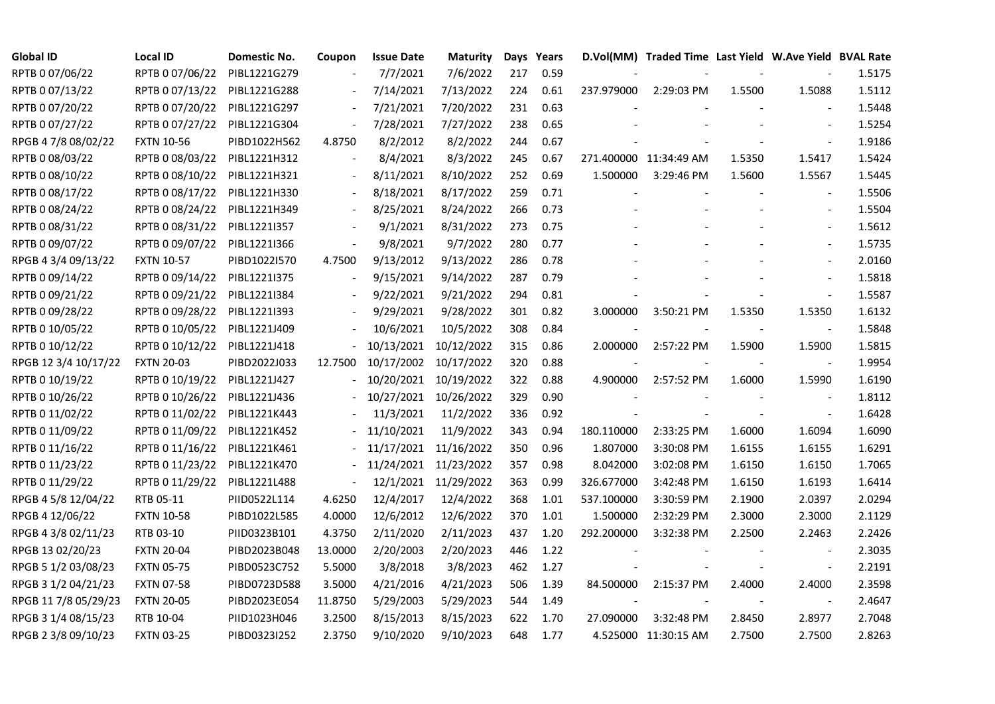| <b>Global ID</b>     | <b>Local ID</b>   | Domestic No. | Coupon                   | <b>Issue Date</b> | Maturity              |     | Days Years |            | D.Vol(MM) Traded Time Last Yield W.Ave Yield BVAL Rate |        |                          |        |
|----------------------|-------------------|--------------|--------------------------|-------------------|-----------------------|-----|------------|------------|--------------------------------------------------------|--------|--------------------------|--------|
| RPTB 0 07/06/22      | RPTB 0 07/06/22   | PIBL1221G279 |                          | 7/7/2021          | 7/6/2022              | 217 | 0.59       |            |                                                        |        |                          | 1.5175 |
| RPTB 0 07/13/22      | RPTB 0 07/13/22   | PIBL1221G288 |                          | 7/14/2021         | 7/13/2022             | 224 | 0.61       | 237.979000 | 2:29:03 PM                                             | 1.5500 | 1.5088                   | 1.5112 |
| RPTB 0 07/20/22      | RPTB 0 07/20/22   | PIBL1221G297 | $\overline{\phantom{a}}$ | 7/21/2021         | 7/20/2022             | 231 | 0.63       |            |                                                        |        |                          | 1.5448 |
| RPTB 0 07/27/22      | RPTB 0 07/27/22   | PIBL1221G304 | $\overline{\phantom{a}}$ | 7/28/2021         | 7/27/2022             | 238 | 0.65       |            |                                                        |        | $\blacksquare$           | 1.5254 |
| RPGB 4 7/8 08/02/22  | <b>FXTN 10-56</b> | PIBD1022H562 | 4.8750                   | 8/2/2012          | 8/2/2022              | 244 | 0.67       |            |                                                        |        | $\blacksquare$           | 1.9186 |
| RPTB 0 08/03/22      | RPTB 0 08/03/22   | PIBL1221H312 |                          | 8/4/2021          | 8/3/2022              | 245 | 0.67       |            | 271.400000 11:34:49 AM                                 | 1.5350 | 1.5417                   | 1.5424 |
| RPTB 0 08/10/22      | RPTB 0 08/10/22   | PIBL1221H321 | $\overline{\phantom{a}}$ | 8/11/2021         | 8/10/2022             | 252 | 0.69       | 1.500000   | 3:29:46 PM                                             | 1.5600 | 1.5567                   | 1.5445 |
| RPTB 0 08/17/22      | RPTB 0 08/17/22   | PIBL1221H330 |                          | 8/18/2021         | 8/17/2022             | 259 | 0.71       |            |                                                        |        |                          | 1.5506 |
| RPTB 0 08/24/22      | RPTB 0 08/24/22   | PIBL1221H349 |                          | 8/25/2021         | 8/24/2022             | 266 | 0.73       |            |                                                        |        |                          | 1.5504 |
| RPTB 0 08/31/22      | RPTB 0 08/31/22   | PIBL1221I357 | $\overline{\phantom{a}}$ | 9/1/2021          | 8/31/2022             | 273 | 0.75       |            |                                                        |        | $\overline{\phantom{a}}$ | 1.5612 |
| RPTB 0 09/07/22      | RPTB 0 09/07/22   | PIBL1221I366 | $\Box$                   | 9/8/2021          | 9/7/2022              | 280 | 0.77       |            |                                                        |        | $\overline{\phantom{a}}$ | 1.5735 |
| RPGB 4 3/4 09/13/22  | <b>FXTN 10-57</b> | PIBD1022I570 | 4.7500                   | 9/13/2012         | 9/13/2022             | 286 | 0.78       |            |                                                        |        | $\overline{\phantom{a}}$ | 2.0160 |
| RPTB 0 09/14/22      | RPTB 0 09/14/22   | PIBL12211375 |                          | 9/15/2021         | 9/14/2022             | 287 | 0.79       |            |                                                        |        | $\overline{\phantom{a}}$ | 1.5818 |
| RPTB 0 09/21/22      | RPTB 0 09/21/22   | PIBL1221I384 |                          | 9/22/2021         | 9/21/2022             | 294 | 0.81       |            |                                                        |        | $\blacksquare$           | 1.5587 |
| RPTB 0 09/28/22      | RPTB 0 09/28/22   | PIBL1221I393 |                          | 9/29/2021         | 9/28/2022             | 301 | 0.82       | 3.000000   | 3:50:21 PM                                             | 1.5350 | 1.5350                   | 1.6132 |
| RPTB 0 10/05/22      | RPTB 0 10/05/22   | PIBL1221J409 |                          | 10/6/2021         | 10/5/2022             | 308 | 0.84       |            |                                                        |        |                          | 1.5848 |
| RPTB 0 10/12/22      | RPTB 0 10/12/22   | PIBL1221J418 |                          | 10/13/2021        | 10/12/2022            | 315 | 0.86       | 2.000000   | 2:57:22 PM                                             | 1.5900 | 1.5900                   | 1.5815 |
| RPGB 12 3/4 10/17/22 | <b>FXTN 20-03</b> | PIBD2022J033 | 12.7500                  | 10/17/2002        | 10/17/2022            | 320 | 0.88       |            |                                                        |        |                          | 1.9954 |
| RPTB 0 10/19/22      | RPTB 0 10/19/22   | PIBL1221J427 | $\overline{\phantom{0}}$ | 10/20/2021        | 10/19/2022            | 322 | 0.88       | 4.900000   | 2:57:52 PM                                             | 1.6000 | 1.5990                   | 1.6190 |
| RPTB 0 10/26/22      | RPTB 0 10/26/22   | PIBL1221J436 |                          |                   | 10/27/2021 10/26/2022 | 329 | 0.90       |            |                                                        |        | $\blacksquare$           | 1.8112 |
| RPTB 0 11/02/22      | RPTB 0 11/02/22   | PIBL1221K443 |                          | 11/3/2021         | 11/2/2022             | 336 | 0.92       |            |                                                        |        | $\blacksquare$           | 1.6428 |
| RPTB 0 11/09/22      | RPTB 0 11/09/22   | PIBL1221K452 |                          | 11/10/2021        | 11/9/2022             | 343 | 0.94       | 180.110000 | 2:33:25 PM                                             | 1.6000 | 1.6094                   | 1.6090 |
| RPTB 0 11/16/22      | RPTB 0 11/16/22   | PIBL1221K461 |                          | 11/17/2021        | 11/16/2022            | 350 | 0.96       | 1.807000   | 3:30:08 PM                                             | 1.6155 | 1.6155                   | 1.6291 |
| RPTB 0 11/23/22      | RPTB 0 11/23/22   | PIBL1221K470 |                          | 11/24/2021        | 11/23/2022            | 357 | 0.98       | 8.042000   | 3:02:08 PM                                             | 1.6150 | 1.6150                   | 1.7065 |
| RPTB 0 11/29/22      | RPTB 0 11/29/22   | PIBL1221L488 | $\blacksquare$           |                   | 12/1/2021 11/29/2022  | 363 | 0.99       | 326.677000 | 3:42:48 PM                                             | 1.6150 | 1.6193                   | 1.6414 |
| RPGB 4 5/8 12/04/22  | RTB 05-11         | PIID0522L114 | 4.6250                   | 12/4/2017         | 12/4/2022             | 368 | 1.01       | 537.100000 | 3:30:59 PM                                             | 2.1900 | 2.0397                   | 2.0294 |
| RPGB 4 12/06/22      | <b>FXTN 10-58</b> | PIBD1022L585 | 4.0000                   | 12/6/2012         | 12/6/2022             | 370 | 1.01       | 1.500000   | 2:32:29 PM                                             | 2.3000 | 2.3000                   | 2.1129 |
| RPGB 4 3/8 02/11/23  | RTB 03-10         | PIID0323B101 | 4.3750                   | 2/11/2020         | 2/11/2023             | 437 | 1.20       | 292.200000 | 3:32:38 PM                                             | 2.2500 | 2.2463                   | 2.2426 |
| RPGB 13 02/20/23     | <b>FXTN 20-04</b> | PIBD2023B048 | 13.0000                  | 2/20/2003         | 2/20/2023             | 446 | 1.22       |            |                                                        |        |                          | 2.3035 |
| RPGB 5 1/2 03/08/23  | <b>FXTN 05-75</b> | PIBD0523C752 | 5.5000                   | 3/8/2018          | 3/8/2023              | 462 | 1.27       |            |                                                        |        |                          | 2.2191 |
| RPGB 3 1/2 04/21/23  | <b>FXTN 07-58</b> | PIBD0723D588 | 3.5000                   | 4/21/2016         | 4/21/2023             | 506 | 1.39       | 84.500000  | 2:15:37 PM                                             | 2.4000 | 2.4000                   | 2.3598 |
| RPGB 11 7/8 05/29/23 | <b>FXTN 20-05</b> | PIBD2023E054 | 11.8750                  | 5/29/2003         | 5/29/2023             | 544 | 1.49       |            |                                                        |        | $\blacksquare$           | 2.4647 |
| RPGB 3 1/4 08/15/23  | RTB 10-04         | PIID1023H046 | 3.2500                   | 8/15/2013         | 8/15/2023             | 622 | 1.70       | 27.090000  | 3:32:48 PM                                             | 2.8450 | 2.8977                   | 2.7048 |
| RPGB 2 3/8 09/10/23  | <b>FXTN 03-25</b> | PIBD0323I252 | 2.3750                   | 9/10/2020         | 9/10/2023             | 648 | 1.77       |            | 4.525000 11:30:15 AM                                   | 2.7500 | 2.7500                   | 2.8263 |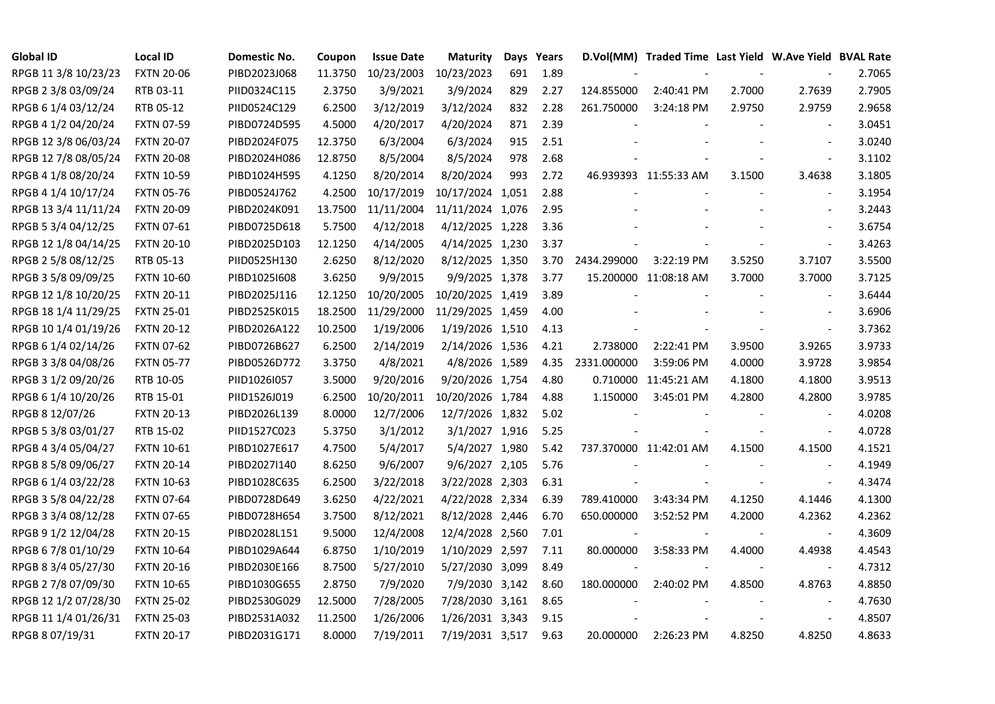| <b>Global ID</b>     | <b>Local ID</b>   | Domestic No. | Coupon  | <b>Issue Date</b> | <b>Maturity</b>  |     | Days Years |             | D.Vol(MM) Traded Time Last Yield W.Ave Yield BVAL Rate |        |                          |        |
|----------------------|-------------------|--------------|---------|-------------------|------------------|-----|------------|-------------|--------------------------------------------------------|--------|--------------------------|--------|
| RPGB 11 3/8 10/23/23 | <b>FXTN 20-06</b> | PIBD2023J068 | 11.3750 | 10/23/2003        | 10/23/2023       | 691 | 1.89       |             |                                                        |        |                          | 2.7065 |
| RPGB 2 3/8 03/09/24  | RTB 03-11         | PIID0324C115 | 2.3750  | 3/9/2021          | 3/9/2024         | 829 | 2.27       | 124.855000  | 2:40:41 PM                                             | 2.7000 | 2.7639                   | 2.7905 |
| RPGB 6 1/4 03/12/24  | RTB 05-12         | PIID0524C129 | 6.2500  | 3/12/2019         | 3/12/2024        | 832 | 2.28       | 261.750000  | 3:24:18 PM                                             | 2.9750 | 2.9759                   | 2.9658 |
| RPGB 4 1/2 04/20/24  | <b>FXTN 07-59</b> | PIBD0724D595 | 4.5000  | 4/20/2017         | 4/20/2024        | 871 | 2.39       |             |                                                        |        | $\blacksquare$           | 3.0451 |
| RPGB 12 3/8 06/03/24 | <b>FXTN 20-07</b> | PIBD2024F075 | 12.3750 | 6/3/2004          | 6/3/2024         | 915 | 2.51       |             |                                                        |        | $\overline{\phantom{a}}$ | 3.0240 |
| RPGB 12 7/8 08/05/24 | <b>FXTN 20-08</b> | PIBD2024H086 | 12.8750 | 8/5/2004          | 8/5/2024         | 978 | 2.68       |             |                                                        |        | $\blacksquare$           | 3.1102 |
| RPGB 4 1/8 08/20/24  | <b>FXTN 10-59</b> | PIBD1024H595 | 4.1250  | 8/20/2014         | 8/20/2024        | 993 | 2.72       |             | 46.939393 11:55:33 AM                                  | 3.1500 | 3.4638                   | 3.1805 |
| RPGB 4 1/4 10/17/24  | <b>FXTN 05-76</b> | PIBD0524J762 | 4.2500  | 10/17/2019        | 10/17/2024 1,051 |     | 2.88       |             |                                                        |        |                          | 3.1954 |
| RPGB 13 3/4 11/11/24 | <b>FXTN 20-09</b> | PIBD2024K091 | 13.7500 | 11/11/2004        | 11/11/2024 1,076 |     | 2.95       |             |                                                        |        |                          | 3.2443 |
| RPGB 5 3/4 04/12/25  | <b>FXTN 07-61</b> | PIBD0725D618 | 5.7500  | 4/12/2018         | 4/12/2025 1,228  |     | 3.36       |             |                                                        |        | $\overline{\phantom{a}}$ | 3.6754 |
| RPGB 12 1/8 04/14/25 | <b>FXTN 20-10</b> | PIBD2025D103 | 12.1250 | 4/14/2005         | 4/14/2025 1,230  |     | 3.37       |             |                                                        |        | $\blacksquare$           | 3.4263 |
| RPGB 2 5/8 08/12/25  | RTB 05-13         | PIID0525H130 | 2.6250  | 8/12/2020         | 8/12/2025 1,350  |     | 3.70       | 2434.299000 | 3:22:19 PM                                             | 3.5250 | 3.7107                   | 3.5500 |
| RPGB 3 5/8 09/09/25  | <b>FXTN 10-60</b> | PIBD10251608 | 3.6250  | 9/9/2015          | 9/9/2025 1,378   |     | 3.77       |             | 15.200000 11:08:18 AM                                  | 3.7000 | 3.7000                   | 3.7125 |
| RPGB 12 1/8 10/20/25 | <b>FXTN 20-11</b> | PIBD2025J116 | 12.1250 | 10/20/2005        | 10/20/2025 1,419 |     | 3.89       |             |                                                        |        | $\blacksquare$           | 3.6444 |
| RPGB 18 1/4 11/29/25 | <b>FXTN 25-01</b> | PIBD2525K015 | 18.2500 | 11/29/2000        | 11/29/2025 1,459 |     | 4.00       |             |                                                        |        | $\sim$                   | 3.6906 |
| RPGB 10 1/4 01/19/26 | <b>FXTN 20-12</b> | PIBD2026A122 | 10.2500 | 1/19/2006         | 1/19/2026 1,510  |     | 4.13       |             |                                                        |        | $\sim$                   | 3.7362 |
| RPGB 6 1/4 02/14/26  | <b>FXTN 07-62</b> | PIBD0726B627 | 6.2500  | 2/14/2019         | 2/14/2026 1,536  |     | 4.21       | 2.738000    | 2:22:41 PM                                             | 3.9500 | 3.9265                   | 3.9733 |
| RPGB 3 3/8 04/08/26  | <b>FXTN 05-77</b> | PIBD0526D772 | 3.3750  | 4/8/2021          | 4/8/2026 1,589   |     | 4.35       | 2331.000000 | 3:59:06 PM                                             | 4.0000 | 3.9728                   | 3.9854 |
| RPGB 3 1/2 09/20/26  | RTB 10-05         | PIID1026I057 | 3.5000  | 9/20/2016         | 9/20/2026 1,754  |     | 4.80       |             | 0.710000 11:45:21 AM                                   | 4.1800 | 4.1800                   | 3.9513 |
| RPGB 6 1/4 10/20/26  | RTB 15-01         | PIID1526J019 | 6.2500  | 10/20/2011        | 10/20/2026 1,784 |     | 4.88       | 1.150000    | 3:45:01 PM                                             | 4.2800 | 4.2800                   | 3.9785 |
| RPGB 8 12/07/26      | <b>FXTN 20-13</b> | PIBD2026L139 | 8.0000  | 12/7/2006         | 12/7/2026 1,832  |     | 5.02       |             |                                                        |        | $\overline{\phantom{a}}$ | 4.0208 |
| RPGB 5 3/8 03/01/27  | RTB 15-02         | PIID1527C023 | 5.3750  | 3/1/2012          | 3/1/2027 1,916   |     | 5.25       |             |                                                        |        | $\blacksquare$           | 4.0728 |
| RPGB 4 3/4 05/04/27  | <b>FXTN 10-61</b> | PIBD1027E617 | 4.7500  | 5/4/2017          | 5/4/2027 1,980   |     | 5.42       |             | 737.370000 11:42:01 AM                                 | 4.1500 | 4.1500                   | 4.1521 |
| RPGB 8 5/8 09/06/27  | <b>FXTN 20-14</b> | PIBD2027I140 | 8.6250  | 9/6/2007          | 9/6/2027 2,105   |     | 5.76       |             |                                                        |        | $\sim$                   | 4.1949 |
| RPGB 6 1/4 03/22/28  | <b>FXTN 10-63</b> | PIBD1028C635 | 6.2500  | 3/22/2018         | 3/22/2028 2,303  |     | 6.31       |             |                                                        |        | $\overline{\phantom{a}}$ | 4.3474 |
| RPGB 3 5/8 04/22/28  | <b>FXTN 07-64</b> | PIBD0728D649 | 3.6250  | 4/22/2021         | 4/22/2028 2,334  |     | 6.39       | 789.410000  | 3:43:34 PM                                             | 4.1250 | 4.1446                   | 4.1300 |
| RPGB 3 3/4 08/12/28  | <b>FXTN 07-65</b> | PIBD0728H654 | 3.7500  | 8/12/2021         | 8/12/2028 2,446  |     | 6.70       | 650.000000  | 3:52:52 PM                                             | 4.2000 | 4.2362                   | 4.2362 |
| RPGB 9 1/2 12/04/28  | <b>FXTN 20-15</b> | PIBD2028L151 | 9.5000  | 12/4/2008         | 12/4/2028 2,560  |     | 7.01       |             |                                                        |        | $\blacksquare$           | 4.3609 |
| RPGB 6 7/8 01/10/29  | <b>FXTN 10-64</b> | PIBD1029A644 | 6.8750  | 1/10/2019         | 1/10/2029 2,597  |     | 7.11       | 80.000000   | 3:58:33 PM                                             | 4.4000 | 4.4938                   | 4.4543 |
| RPGB 8 3/4 05/27/30  | <b>FXTN 20-16</b> | PIBD2030E166 | 8.7500  | 5/27/2010         | 5/27/2030 3,099  |     | 8.49       |             |                                                        |        |                          | 4.7312 |
| RPGB 2 7/8 07/09/30  | <b>FXTN 10-65</b> | PIBD1030G655 | 2.8750  | 7/9/2020          | 7/9/2030 3,142   |     | 8.60       | 180.000000  | 2:40:02 PM                                             | 4.8500 | 4.8763                   | 4.8850 |
| RPGB 12 1/2 07/28/30 | <b>FXTN 25-02</b> | PIBD2530G029 | 12.5000 | 7/28/2005         | 7/28/2030 3,161  |     | 8.65       |             |                                                        |        | $\overline{\phantom{a}}$ | 4.7630 |
| RPGB 11 1/4 01/26/31 | <b>FXTN 25-03</b> | PIBD2531A032 | 11.2500 | 1/26/2006         | 1/26/2031 3,343  |     | 9.15       |             |                                                        |        | $\sim$                   | 4.8507 |
| RPGB 8 07/19/31      | <b>FXTN 20-17</b> | PIBD2031G171 | 8.0000  | 7/19/2011         | 7/19/2031 3,517  |     | 9.63       | 20.000000   | 2:26:23 PM                                             | 4.8250 | 4.8250                   | 4.8633 |